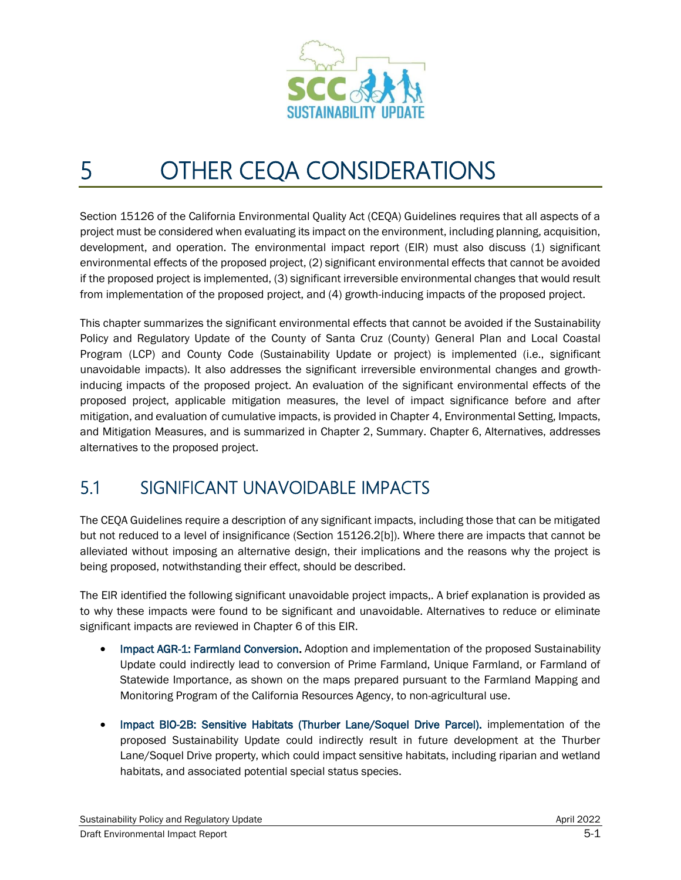

## 5 OTHER CEQA CONSIDERATIONS

Section 15126 of the California Environmental Quality Act (CEQA) Guidelines requires that all aspects of a project must be considered when evaluating its impact on the environment, including planning, acquisition, development, and operation. The environmental impact report (EIR) must also discuss (1) significant environmental effects of the proposed project, (2) significant environmental effects that cannot be avoided if the proposed project is implemented, (3) significant irreversible environmental changes that would result from implementation of the proposed project, and (4) growth-inducing impacts of the proposed project.

This chapter summarizes the significant environmental effects that cannot be avoided if the Sustainability Policy and Regulatory Update of the County of Santa Cruz (County) General Plan and Local Coastal Program (LCP) and County Code (Sustainability Update or project) is implemented (i.e., significant unavoidable impacts). It also addresses the significant irreversible environmental changes and growthinducing impacts of the proposed project. An evaluation of the significant environmental effects of the proposed project, applicable mitigation measures, the level of impact significance before and after mitigation, and evaluation of cumulative impacts, is provided in Chapter 4, Environmental Setting, Impacts, and Mitigation Measures, and is summarized in Chapter 2, Summary. Chapter 6, Alternatives, addresses alternatives to the proposed project.

## 5.1 SIGNIFICANT UNAVOIDABLE IMPACTS

The CEQA Guidelines require a description of any significant impacts, including those that can be mitigated but not reduced to a level of insignificance (Section 15126.2[b]). Where there are impacts that cannot be alleviated without imposing an alternative design, their implications and the reasons why the project is being proposed, notwithstanding their effect, should be described.

The EIR identified the following significant unavoidable project impacts,. A brief explanation is provided as to why these impacts were found to be significant and unavoidable. Alternatives to reduce or eliminate significant impacts are reviewed in Chapter 6 of this EIR.

- Impact AGR-1: Farmland Conversion. Adoption and implementation of the proposed Sustainability Update could indirectly lead to conversion of Prime Farmland, Unique Farmland, or Farmland of Statewide Importance, as shown on the maps prepared pursuant to the Farmland Mapping and Monitoring Program of the California Resources Agency, to non-agricultural use.
- Impact BIO-2B:Sensitive Habitats (Thurber Lane/Soquel Drive Parcel). implementation of the proposed Sustainability Update could indirectly result in future development at the Thurber Lane/Soquel Drive property, which could impact sensitive habitats, including riparian and wetland habitats, and associated potential special status species.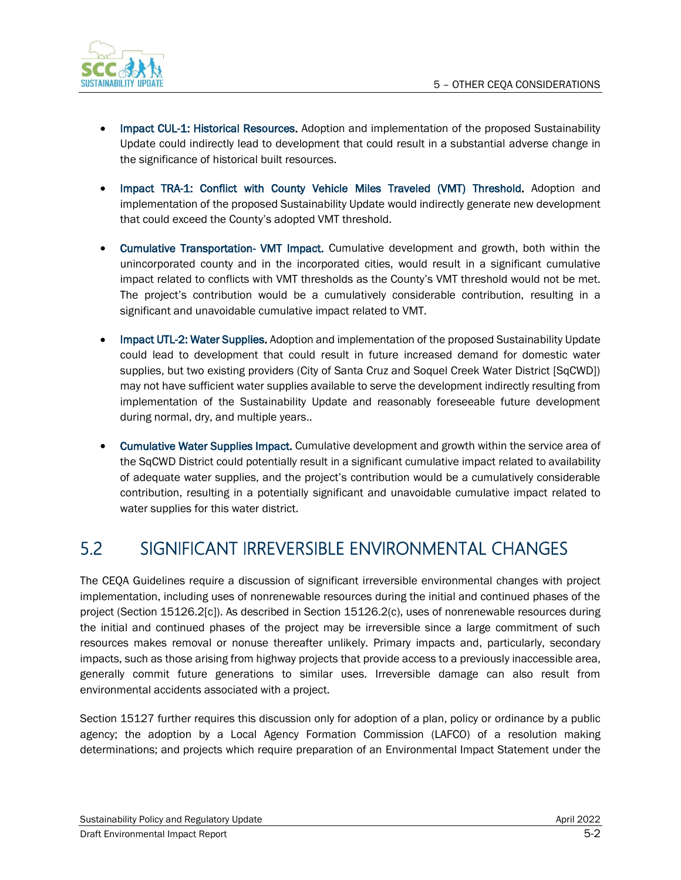

- Impact CUL-1: Historical Resources. Adoption and implementation of the proposed Sustainability Update could indirectly lead to development that could result in a substantial adverse change in the significance of historical built resources.
- Impact TRA-1: Conflict with County Vehicle Miles Traveled (VMT) Threshold. Adoption and implementation of the proposed Sustainability Update would indirectly generate new development that could exceed the County's adopted VMT threshold.
- Cumulative Transportation- VMT Impact. Cumulative development and growth, both within the unincorporated county and in the incorporated cities, would result in a significant cumulative impact related to conflicts with VMT thresholds as the County's VMT threshold would not be met. The project's contribution would be a cumulatively considerable contribution, resulting in a significant and unavoidable cumulative impact related to VMT.
- Impact UTL-2: Water Supplies. Adoption and implementation of the proposed Sustainability Update could lead to development that could result in future increased demand for domestic water supplies, but two existing providers (City of Santa Cruz and Soquel Creek Water District [SqCWD]) may not have sufficient water supplies available to serve the development indirectly resulting from implementation of the Sustainability Update and reasonably foreseeable future development during normal, dry, and multiple years..
- Cumulative Water Supplies Impact. Cumulative development and growth within the service area of the SqCWD District could potentially result in a significant cumulative impact related to availability of adequate water supplies, and the project's contribution would be a cumulatively considerable contribution, resulting in a potentially significant and unavoidable cumulative impact related to water supplies for this water district.

## 5.2 SIGNIFICANT IRREVERSIBLE ENVIRONMENTAL CHANGES

The CEQA Guidelines require a discussion of significant irreversible environmental changes with project implementation, including uses of nonrenewable resources during the initial and continued phases of the project (Section 15126.2[c]). As described in Section 15126.2(c), uses of nonrenewable resources during the initial and continued phases of the project may be irreversible since a large commitment of such resources makes removal or nonuse thereafter unlikely. Primary impacts and, particularly, secondary impacts, such as those arising from highway projects that provide access to a previously inaccessible area, generally commit future generations to similar uses. Irreversible damage can also result from environmental accidents associated with a project.

Section 15127 further requires this discussion only for adoption of a plan, policy or ordinance by a public agency; the adoption by a Local Agency Formation Commission (LAFCO) of a resolution making determinations; and projects which require preparation of an Environmental Impact Statement under the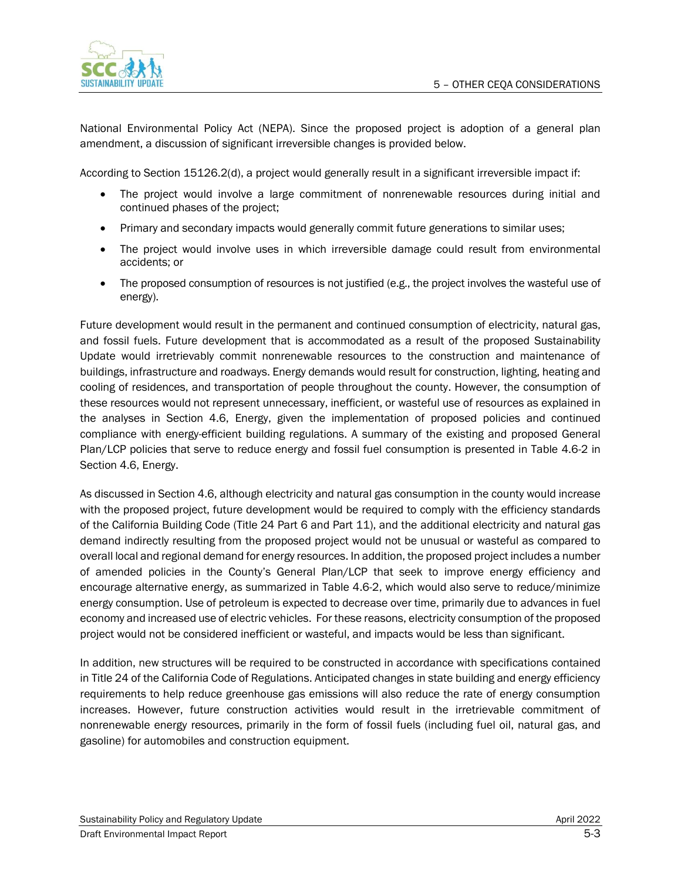

National Environmental Policy Act (NEPA). Since the proposed project is adoption of a general plan amendment, a discussion of significant irreversible changes is provided below.

According to Section 15126.2(d), a project would generally result in a significant irreversible impact if:

- The project would involve a large commitment of nonrenewable resources during initial and continued phases of the project;
- Primary and secondary impacts would generally commit future generations to similar uses;
- The project would involve uses in which irreversible damage could result from environmental accidents; or
- The proposed consumption of resources is not justified (e.g., the project involves the wasteful use of energy).

Future development would result in the permanent and continued consumption of electricity, natural gas, and fossil fuels. Future development that is accommodated as a result of the proposed Sustainability Update would irretrievably commit nonrenewable resources to the construction and maintenance of buildings, infrastructure and roadways. Energy demands would result for construction, lighting, heating and cooling of residences, and transportation of people throughout the county. However, the consumption of these resources would not represent unnecessary, inefficient, or wasteful use of resources as explained in the analyses in Section 4.6, Energy, given the implementation of proposed policies and continued compliance with energy-efficient building regulations. A summary of the existing and proposed General Plan/LCP policies that serve to reduce energy and fossil fuel consumption is presented in Table 4.6-2 in Section 4.6, Energy.

As discussed in Section 4.6, although electricity and natural gas consumption in the county would increase with the proposed project, future development would be required to comply with the efficiency standards of the California Building Code (Title 24 Part 6 and Part 11), and the additional electricity and natural gas demand indirectly resulting from the proposed project would not be unusual or wasteful as compared to overall local and regional demand for energy resources. In addition, the proposed project includes a number of amended policies in the County's General Plan/LCP that seek to improve energy efficiency and encourage alternative energy, as summarized in Table 4.6-2, which would also serve to reduce/minimize energy consumption. Use of petroleum is expected to decrease over time, primarily due to advances in fuel economy and increased use of electric vehicles. For these reasons, electricity consumption of the proposed project would not be considered inefficient or wasteful, and impacts would be less than significant.

In addition, new structures will be required to be constructed in accordance with specifications contained in Title 24 of the California Code of Regulations. Anticipated changes in state building and energy efficiency requirements to help reduce greenhouse gas emissions will also reduce the rate of energy consumption increases. However, future construction activities would result in the irretrievable commitment of nonrenewable energy resources, primarily in the form of fossil fuels (including fuel oil, natural gas, and gasoline) for automobiles and construction equipment.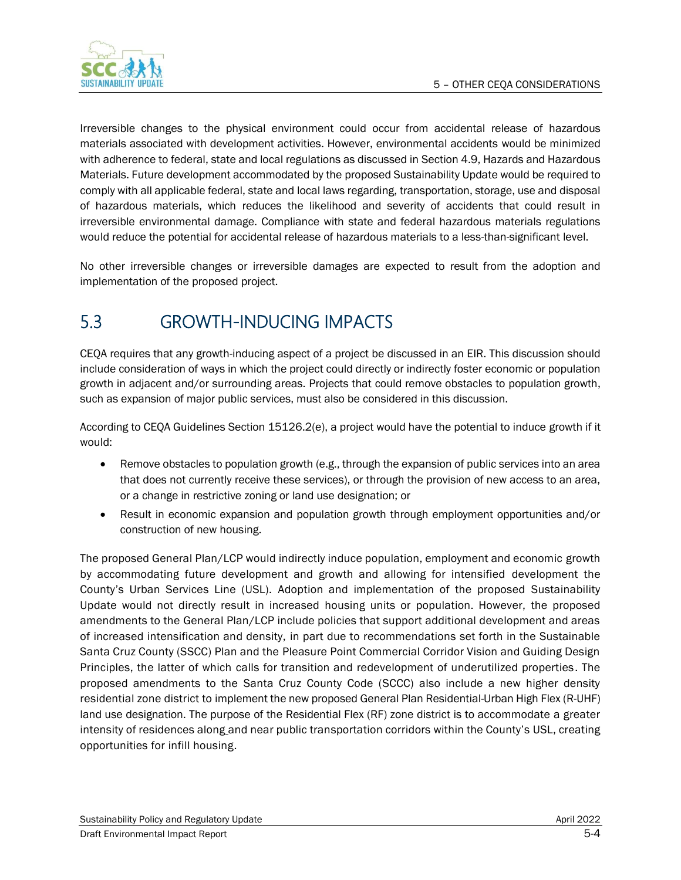

Irreversible changes to the physical environment could occur from accidental release of hazardous materials associated with development activities. However, environmental accidents would be minimized with adherence to federal, state and local regulations as discussed in Section 4.9, Hazards and Hazardous Materials. Future development accommodated by the proposed Sustainability Update would be required to comply with all applicable federal, state and local laws regarding, transportation, storage, use and disposal of hazardous materials, which reduces the likelihood and severity of accidents that could result in irreversible environmental damage. Compliance with state and federal hazardous materials regulations would reduce the potential for accidental release of hazardous materials to a less-than-significant level.

No other irreversible changes or irreversible damages are expected to result from the adoption and implementation of the proposed project.

## 5.3 GROWTH-INDUCING IMPACTS

CEQA requires that any growth-inducing aspect of a project be discussed in an EIR. This discussion should include consideration of ways in which the project could directly or indirectly foster economic or population growth in adjacent and/or surrounding areas. Projects that could remove obstacles to population growth, such as expansion of major public services, must also be considered in this discussion.

According to CEQA Guidelines Section 15126.2(e), a project would have the potential to induce growth if it would:

- Remove obstacles to population growth (e.g., through the expansion of public services into an area that does not currently receive these services), or through the provision of new access to an area, or a change in restrictive zoning or land use designation; or
- Result in economic expansion and population growth through employment opportunities and/or construction of new housing.

The proposed General Plan/LCP would indirectly induce population, employment and economic growth by accommodating future development and growth and allowing for intensified development the County's Urban Services Line (USL). Adoption and implementation of the proposed Sustainability Update would not directly result in increased housing units or population. However, the proposed amendments to the General Plan/LCP include policies that support additional development and areas of increased intensification and density, in part due to recommendations set forth in the Sustainable Santa Cruz County (SSCC) Plan and the Pleasure Point Commercial Corridor Vision and Guiding Design Principles, the latter of which calls for transition and redevelopment of underutilized properties. The proposed amendments to the Santa Cruz County Code (SCCC) also include a new higher density residential zone district to implement the new proposed General Plan Residential-Urban High Flex (R-UHF) land use designation. The purpose of the Residential Flex (RF) zone district is to accommodate a greater intensity of residences along and near public transportation corridors within the County's USL, creating opportunities for infill housing.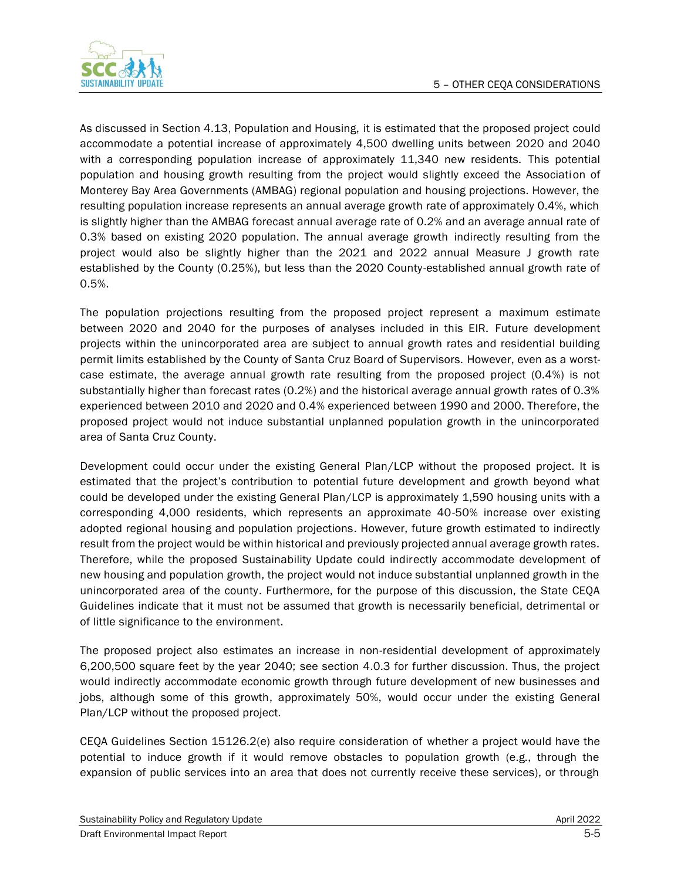

As discussed in Section 4.13, Population and Housing, it is estimated that the proposed project could accommodate a potential increase of approximately 4,500 dwelling units between 2020 and 2040 with a corresponding population increase of approximately 11,340 new residents. This potential population and housing growth resulting from the project would slightly exceed the Association of Monterey Bay Area Governments (AMBAG) regional population and housing projections. However, the resulting population increase represents an annual average growth rate of approximately 0.4%, which is slightly higher than the AMBAG forecast annual average rate of 0.2% and an average annual rate of 0.3% based on existing 2020 population. The annual average growth indirectly resulting from the project would also be slightly higher than the 2021 and 2022 annual Measure J growth rate established by the County (0.25%), but less than the 2020 County-established annual growth rate of 0.5%.

The population projections resulting from the proposed project represent a maximum estimate between 2020 and 2040 for the purposes of analyses included in this EIR. Future development projects within the unincorporated area are subject to annual growth rates and residential building permit limits established by the County of Santa Cruz Board of Supervisors. However, even as a worstcase estimate, the average annual growth rate resulting from the proposed project (0.4%) is not substantially higher than forecast rates (0.2%) and the historical average annual growth rates of 0.3% experienced between 2010 and 2020 and 0.4% experienced between 1990 and 2000. Therefore, the proposed project would not induce substantial unplanned population growth in the unincorporated area of Santa Cruz County.

Development could occur under the existing General Plan/LCP without the proposed project. It is estimated that the project's contribution to potential future development and growth beyond what could be developed under the existing General Plan/LCP is approximately 1,590 housing units with a corresponding 4,000 residents, which represents an approximate 40-50% increase over existing adopted regional housing and population projections. However, future growth estimated to indirectly result from the project would be within historical and previously projected annual average growth rates. Therefore, while the proposed Sustainability Update could indirectly accommodate development of new housing and population growth, the project would not induce substantial unplanned growth in the unincorporated area of the county. Furthermore, for the purpose of this discussion, the State CEQA Guidelines indicate that it must not be assumed that growth is necessarily beneficial, detrimental or of little significance to the environment.

The proposed project also estimates an increase in non-residential development of approximately 6,200,500 square feet by the year 2040; see section 4.0.3 for further discussion. Thus, the project would indirectly accommodate economic growth through future development of new businesses and jobs, although some of this growth, approximately 50%, would occur under the existing General Plan/LCP without the proposed project.

CEQA Guidelines Section 15126.2(e) also require consideration of whether a project would have the potential to induce growth if it would remove obstacles to population growth (e.g., through the expansion of public services into an area that does not currently receive these services), or through